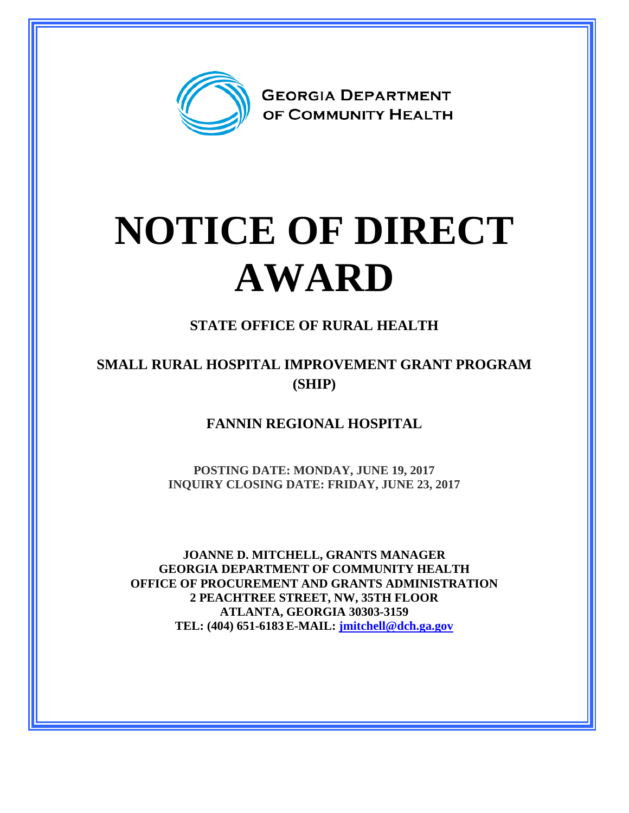

## **NOTICE OF DIRECT AWARD**

**STATE OFFICE OF RURAL HEALTH**

## **SMALL RURAL HOSPITAL IMPROVEMENT GRANT PROGRAM (SHIP)**

**FANNIN REGIONAL HOSPITAL**

**POSTING DATE: MONDAY, JUNE 19, 2017 INQUIRY CLOSING DATE: FRIDAY, JUNE 23, 2017**

**JOANNE D. MITCHELL, GRANTS MANAGER GEORGIA DEPARTMENT OF COMMUNITY HEALTH OFFICE OF PROCUREMENT AND GRANTS ADMINISTRATION 2 PEACHTREE STREET, NW, 35TH FLOOR ATLANTA, GEORGIA 30303-3159 TEL: (404) 651-6183 E-MAIL: [jmitchell@dch.ga.gov](mailto:awatson@dch.ga.gov)**